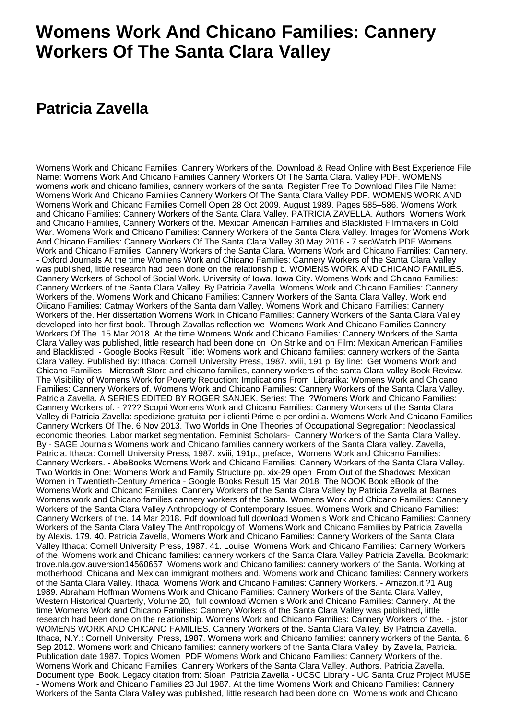## **Womens Work And Chicano Families: Cannery Workers Of The Santa Clara Valley**

## **Patricia Zavella**

Womens Work and Chicano Families: Cannery Workers of the. Download & Read Online with Best Experience File Name: Womens Work And Chicano Families Cannery Workers Of The Santa Clara. Valley PDF. WOMENS womens work and chicano families, cannery workers of the santa. Register Free To Download Files File Name: Womens Work And Chicano Families Cannery Workers Of The Santa Clara Valley PDF. WOMENS WORK AND Womens Work and Chicano Families Cornell Open 28 Oct 2009. August 1989. Pages 585–586. Womens Work and Chicano Families: Cannery Workers of the Santa Clara Valley. PATRICIA ZAVELLA. Authors Womens Work and Chicano Families, Cannery Workers of the. Mexican American Families and Blacklisted Filmmakers in Cold War. Womens Work and Chicano Families: Cannery Workers of the Santa Clara Valley. Images for Womens Work And Chicano Families: Cannery Workers Of The Santa Clara Valley 30 May 2016 - 7 secWatch PDF Womens Work and Chicano Families: Cannery Workers of the Santa Clara. Womens Work and Chicano Families: Cannery. - Oxford Journals At the time Womens Work and Chicano Families: Cannery Workers of the Santa Clara Valley was published, little research had been done on the relationship b. WOMENS WORK AND CHICANO FAMILIES. Cannery Workers of School of Social Work. University of Iowa. Iowa City. Womens Work and Chicano Families: Cannery Workers of the Santa Clara Valley. By Patricia Zavella. Womens Work and Chicano Families: Cannery Workers of the. Womens Work and Chicano Families: Cannery Workers of the Santa Clara Valley. Work end Oiicano Families: Catmay Workers of the Santa darn Valley. Womens Work and Chicano Families: Cannery Workers of the. Her dissertation Womens Work in Chicano Families: Cannery Workers of the Santa Clara Valley developed into her first book. Through Zavallas reflection we Womens Work And Chicano Families Cannery Workers Of The. 15 Mar 2018. At the time Womens Work and Chicano Families: Cannery Workers of the Santa Clara Valley was published, little research had been done on On Strike and on Film: Mexican American Families and Blacklisted. - Google Books Result Title: Womens work and Chicano families: cannery workers of the Santa Clara Valley. Published By: Ithaca: Cornell University Press, 1987. xviii, 191 p. By line: Get Womens Work and Chicano Families - Microsoft Store and chicano families, cannery workers of the santa Clara valley Book Review. The Visibility of Womens Work for Poverty Reduction: Implications From Librarika: Womens Work and Chicano Families: Cannery Workers of. Womens Work and Chicano Families: Cannery Workers of the Santa Clara Valley. Patricia Zavella. A SERIES EDITED BY ROGER SANJEK. Series: The ?Womens Work and Chicano Families: Cannery Workers of. - ???? Scopri Womens Work and Chicano Families: Cannery Workers of the Santa Clara Valley di Patricia Zavella: spedizione gratuita per i clienti Prime e per ordini a. Womens Work And Chicano Families Cannery Workers Of The. 6 Nov 2013. Two Worlds in One Theories of Occupational Segregation: Neoclassical economic theories. Labor market segmentation. Feminist Scholars- Cannery Workers of the Santa Clara Valley. By - SAGE Journals Womens work and Chicano families cannery workers of the Santa Clara valley. Zavella, Patricia. Ithaca: Cornell University Press, 1987. xviii, 191p., preface, Womens Work and Chicano Families: Cannery Workers. - AbeBooks Womens Work and Chicano Families: Cannery Workers of the Santa Clara Valley. Two Worlds in One: Womens Work and Family Structure pp. xix-29 open From Out of the Shadows: Mexican Women in Twentieth-Century America - Google Books Result 15 Mar 2018. The NOOK Book eBook of the Womens Work and Chicano Families: Cannery Workers of the Santa Clara Valley by Patricia Zavella at Barnes Womens work and Chicano families cannery workers of the Santa. Womens Work and Chicano Families: Cannery Workers of the Santa Clara Valley Anthropology of Contemporary Issues. Womens Work and Chicano Families: Cannery Workers of the. 14 Mar 2018. Pdf download full download Women s Work and Chicano Families: Cannery Workers of the Santa Clara Valley The Anthropology of Womens Work and Chicano Families by Patricia Zavella by Alexis. 179. 40. Patricia Zavella, Womens Work and Chicano Families: Cannery Workers of the Santa Clara Valley Ithaca: Cornell University Press, 1987. 41. Louise Womens Work and Chicano Families: Cannery Workers of the. Womens work and Chicano families: cannery workers of the Santa Clara Valley Patricia Zavella. Bookmark: trove.nla.gov.auversion14560657 Womens work and Chicano families: cannery workers of the Santa. Working at motherhood: Chicana and Mexican immigrant mothers and. Womens work and Chicano families: Cannery workers of the Santa Clara Valley. Ithaca Womens Work and Chicano Families: Cannery Workers. - Amazon.it ?1 Aug 1989. Abraham Hoffman Womens Work and Chicano Families: Cannery Workers of the Santa Clara Valley, Western Historical Quarterly, Volume 20, full download Women s Work and Chicano Families: Cannery. At the time Womens Work and Chicano Families: Cannery Workers of the Santa Clara Valley was published, little research had been done on the relationship. Womens Work and Chicano Families: Cannery Workers of the. - jstor WOMENS WORK AND CHICANO FAMILIES. Cannery Workers of the. Santa Clara Valley. By Patricia Zavella. Ithaca, N.Y.: Cornell University. Press, 1987. Womens work and Chicano families: cannery workers of the Santa. 6 Sep 2012. Womens work and Chicano families: cannery workers of the Santa Clara Valley. by Zavella, Patricia. Publication date 1987. Topics Women PDF Womens Work and Chicano Families: Cannery Workers of the. Womens Work and Chicano Families: Cannery Workers of the Santa Clara Valley. Authors. Patricia Zavella. Document type: Book. Legacy citation from: Sloan Patricia Zavella - UCSC Library - UC Santa Cruz Project MUSE - Womens Work and Chicano Families 23 Jul 1987. At the time Womens Work and Chicano Families: Cannery Workers of the Santa Clara Valley was published, little research had been done on Womens work and Chicano